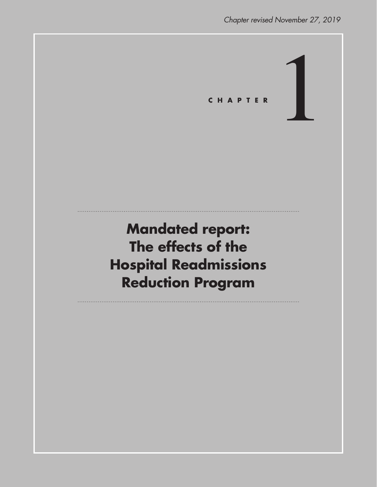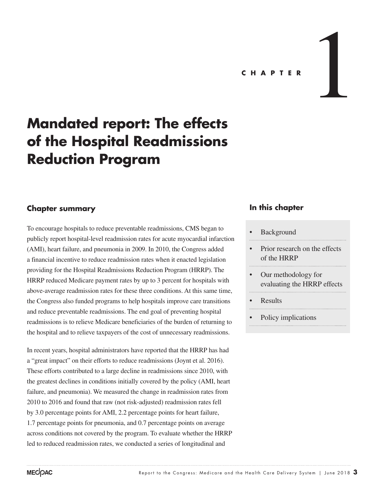

# **Mandated report: The effects of the Hospital Readmissions Reduction Program**

#### **Chapter summary**

To encourage hospitals to reduce preventable readmissions, CMS began to publicly report hospital-level readmission rates for acute myocardial infarction (AMI), heart failure, and pneumonia in 2009. In 2010, the Congress added a financial incentive to reduce readmission rates when it enacted legislation providing for the Hospital Readmissions Reduction Program (HRRP). The HRRP reduced Medicare payment rates by up to 3 percent for hospitals with above-average readmission rates for these three conditions. At this same time, the Congress also funded programs to help hospitals improve care transitions and reduce preventable readmissions. The end goal of preventing hospital readmissions is to relieve Medicare beneficiaries of the burden of returning to the hospital and to relieve taxpayers of the cost of unnecessary readmissions.

In recent years, hospital administrators have reported that the HRRP has had a "great impact" on their efforts to reduce readmissions (Joynt et al. 2016). These efforts contributed to a large decline in readmissions since 2010, with the greatest declines in conditions initially covered by the policy (AMI, heart failure, and pneumonia). We measured the change in readmission rates from 2010 to 2016 and found that raw (not risk-adjusted) readmission rates fell by 3.0 percentage points for AMI, 2.2 percentage points for heart failure, 1.7 percentage points for pneumonia, and 0.7 percentage points on average across conditions not covered by the program. To evaluate whether the HRRP led to reduced readmission rates, we conducted a series of longitudinal and

### **In this chapter**

#### **Background**

- Prior research on the effects of the HRRP
- Our methodology for evaluating the HRRP effects
- Results
- 
- Policy implications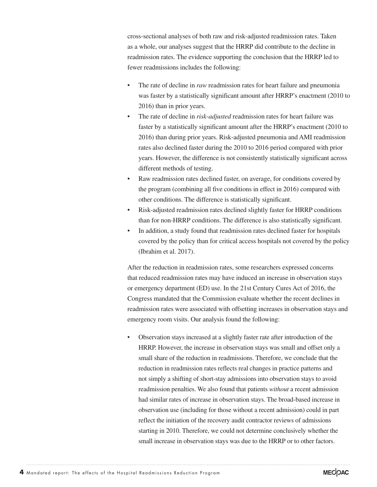cross-sectional analyses of both raw and risk-adjusted readmission rates. Taken as a whole, our analyses suggest that the HRRP did contribute to the decline in readmission rates. The evidence supporting the conclusion that the HRRP led to fewer readmissions includes the following:

- The rate of decline in *raw* readmission rates for heart failure and pneumonia was faster by a statistically significant amount after HRRP's enactment (2010 to 2016) than in prior years.
- The rate of decline in *risk-adjusted* readmission rates for heart failure was faster by a statistically significant amount after the HRRP's enactment (2010 to 2016) than during prior years. Risk-adjusted pneumonia and AMI readmission rates also declined faster during the 2010 to 2016 period compared with prior years. However, the difference is not consistently statistically significant across different methods of testing.
- Raw readmission rates declined faster, on average, for conditions covered by the program (combining all five conditions in effect in 2016) compared with other conditions. The difference is statistically significant.
- Risk-adjusted readmission rates declined slightly faster for HRRP conditions than for non-HRRP conditions. The difference is also statistically significant.
- In addition, a study found that readmission rates declined faster for hospitals covered by the policy than for critical access hospitals not covered by the policy (Ibrahim et al. 2017).

After the reduction in readmission rates, some researchers expressed concerns that reduced readmission rates may have induced an increase in observation stays or emergency department (ED) use. In the 21st Century Cures Act of 2016, the Congress mandated that the Commission evaluate whether the recent declines in readmission rates were associated with offsetting increases in observation stays and emergency room visits. Our analysis found the following:

• Observation stays increased at a slightly faster rate after introduction of the HRRP. However, the increase in observation stays was small and offset only a small share of the reduction in readmissions. Therefore, we conclude that the reduction in readmission rates reflects real changes in practice patterns and not simply a shifting of short-stay admissions into observation stays to avoid readmission penalties. We also found that patients *without* a recent admission had similar rates of increase in observation stays. The broad-based increase in observation use (including for those without a recent admission) could in part reflect the initiation of the recovery audit contractor reviews of admissions starting in 2010. Therefore, we could not determine conclusively whether the small increase in observation stays was due to the HRRP or to other factors.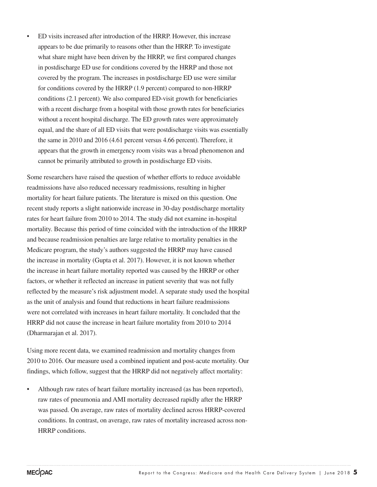• ED visits increased after introduction of the HRRP. However, this increase appears to be due primarily to reasons other than the HRRP. To investigate what share might have been driven by the HRRP, we first compared changes in postdischarge ED use for conditions covered by the HRRP and those not covered by the program. The increases in postdischarge ED use were similar for conditions covered by the HRRP (1.9 percent) compared to non-HRRP conditions (2.1 percent). We also compared ED-visit growth for beneficiaries with a recent discharge from a hospital with those growth rates for beneficiaries without a recent hospital discharge. The ED growth rates were approximately equal, and the share of all ED visits that were postdischarge visits was essentially the same in 2010 and 2016 (4.61 percent versus 4.66 percent). Therefore, it appears that the growth in emergency room visits was a broad phenomenon and cannot be primarily attributed to growth in postdischarge ED visits.

Some researchers have raised the question of whether efforts to reduce avoidable readmissions have also reduced necessary readmissions, resulting in higher mortality for heart failure patients. The literature is mixed on this question. One recent study reports a slight nationwide increase in 30-day postdischarge mortality rates for heart failure from 2010 to 2014. The study did not examine in-hospital mortality. Because this period of time coincided with the introduction of the HRRP and because readmission penalties are large relative to mortality penalties in the Medicare program, the study's authors suggested the HRRP may have caused the increase in mortality (Gupta et al. 2017). However, it is not known whether the increase in heart failure mortality reported was caused by the HRRP or other factors, or whether it reflected an increase in patient severity that was not fully reflected by the measure's risk adjustment model. A separate study used the hospital as the unit of analysis and found that reductions in heart failure readmissions were not correlated with increases in heart failure mortality. It concluded that the HRRP did not cause the increase in heart failure mortality from 2010 to 2014 (Dharmarajan et al. 2017).

Using more recent data, we examined readmission and mortality changes from 2010 to 2016. Our measure used a combined inpatient and post-acute mortality. Our findings, which follow, suggest that the HRRP did not negatively affect mortality:

• Although raw rates of heart failure mortality increased (as has been reported), raw rates of pneumonia and AMI mortality decreased rapidly after the HRRP was passed. On average, raw rates of mortality declined across HRRP-covered conditions. In contrast, on average, raw rates of mortality increased across non-HRRP conditions.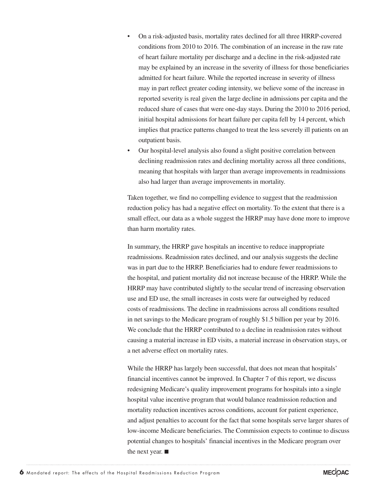- On a risk-adjusted basis, mortality rates declined for all three HRRP-covered conditions from 2010 to 2016. The combination of an increase in the raw rate of heart failure mortality per discharge and a decline in the risk-adjusted rate may be explained by an increase in the severity of illness for those beneficiaries admitted for heart failure. While the reported increase in severity of illness may in part reflect greater coding intensity, we believe some of the increase in reported severity is real given the large decline in admissions per capita and the reduced share of cases that were one-day stays. During the 2010 to 2016 period, initial hospital admissions for heart failure per capita fell by 14 percent, which implies that practice patterns changed to treat the less severely ill patients on an outpatient basis.
- Our hospital-level analysis also found a slight positive correlation between declining readmission rates and declining mortality across all three conditions, meaning that hospitals with larger than average improvements in readmissions also had larger than average improvements in mortality.

Taken together, we find no compelling evidence to suggest that the readmission reduction policy has had a negative effect on mortality. To the extent that there is a small effect, our data as a whole suggest the HRRP may have done more to improve than harm mortality rates.

In summary, the HRRP gave hospitals an incentive to reduce inappropriate readmissions. Readmission rates declined, and our analysis suggests the decline was in part due to the HRRP. Beneficiaries had to endure fewer readmissions to the hospital, and patient mortality did not increase because of the HRRP. While the HRRP may have contributed slightly to the secular trend of increasing observation use and ED use, the small increases in costs were far outweighed by reduced costs of readmissions. The decline in readmissions across all conditions resulted in net savings to the Medicare program of roughly \$1.5 billion per year by 2016. We conclude that the HRRP contributed to a decline in readmission rates without causing a material increase in ED visits, a material increase in observation stays, or a net adverse effect on mortality rates.

While the HRRP has largely been successful, that does not mean that hospitals' financial incentives cannot be improved. In Chapter 7 of this report, we discuss redesigning Medicare's quality improvement programs for hospitals into a single hospital value incentive program that would balance readmission reduction and mortality reduction incentives across conditions, account for patient experience, and adjust penalties to account for the fact that some hospitals serve larger shares of low-income Medicare beneficiaries. The Commission expects to continue to discuss potential changes to hospitals' financial incentives in the Medicare program over the next year. ■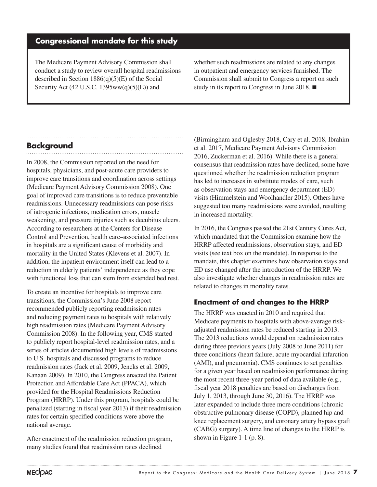### **Congressional mandate for this study**

The Medicare Payment Advisory Commission shall conduct a study to review overall hospital readmissions described in Section  $1886(q)(5)(E)$  of the Social Security Act (42 U.S.C. 1395ww(q)(5)(E)) and

whether such readmissions are related to any changes in outpatient and emergency services furnished. The Commission shall submit to Congress a report on such study in its report to Congress in June 2018. ■

# **Background**

In 2008, the Commission reported on the need for hospitals, physicians, and post-acute care providers to improve care transitions and coordination across settings (Medicare Payment Advisory Commission 2008). One goal of improved care transitions is to reduce preventable readmissions. Unnecessary readmissions can pose risks of iatrogenic infections, medication errors, muscle weakening, and pressure injuries such as decubitus ulcers. According to researchers at the Centers for Disease Control and Prevention, health care–associated infections in hospitals are a significant cause of morbidity and mortality in the United States (Klevens et al. 2007). In addition, the inpatient environment itself can lead to a reduction in elderly patients' independence as they cope with functional loss that can stem from extended bed rest.

To create an incentive for hospitals to improve care transitions, the Commission's June 2008 report recommended publicly reporting readmission rates and reducing payment rates to hospitals with relatively high readmission rates (Medicare Payment Advisory Commission 2008). In the following year, CMS started to publicly report hospital-level readmission rates, and a series of articles documented high levels of readmissions to U.S. hospitals and discussed programs to reduce readmission rates (Jack et al. 2009, Jencks et al. 2009, Kanaan 2009). In 2010, the Congress enacted the Patient Protection and Affordable Care Act (PPACA), which provided for the Hospital Readmissions Reduction Program (HRRP). Under this program, hospitals could be penalized (starting in fiscal year 2013) if their readmission rates for certain specified conditions were above the national average.

After enactment of the readmission reduction program, many studies found that readmission rates declined

(Birmingham and Oglesby 2018, Cary et al. 2018, Ibrahim et al. 2017, Medicare Payment Advisory Commission 2016, Zuckerman et al. 2016). While there is a general consensus that readmission rates have declined, some have questioned whether the readmission reduction program has led to increases in substitute modes of care, such as observation stays and emergency department (ED) visits (Himmelstein and Woolhandler 2015). Others have suggested too many readmissions were avoided, resulting in increased mortality.

In 2016, the Congress passed the 21st Century Cures Act, which mandated that the Commission examine how the HRRP affected readmissions, observation stays, and ED visits (see text box on the mandate). In response to the mandate, this chapter examines how observation stays and ED use changed after the introduction of the HRRP. We also investigate whether changes in readmission rates are related to changes in mortality rates.

#### **Enactment of and changes to the HRRP**

The HRRP was enacted in 2010 and required that Medicare payments to hospitals with above-average riskadjusted readmission rates be reduced starting in 2013. The 2013 reductions would depend on readmission rates during three previous years (July 2008 to June 2011) for three conditions (heart failure, acute myocardial infarction (AMI), and pneumonia). CMS continues to set penalties for a given year based on readmission performance during the most recent three-year period of data available (e.g., fiscal year 2018 penalties are based on discharges from July 1, 2013, through June 30, 2016). The HRRP was later expanded to include three more conditions (chronic obstructive pulmonary disease (COPD), planned hip and knee replacement surgery, and coronary artery bypass graft (CABG) surgery). A time line of changes to the HRRP is shown in Figure 1-1 (p. 8).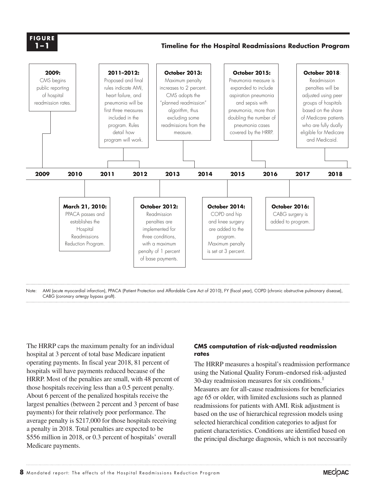**X-X FIGURE 1–1**

#### **Timeline for the Hospital Readmissions Reduction Program**



Note: AMI (acute myocardial infarction), PPACA (Patient Protection and Affordable Care Act of 2010), FY (fiscal year), COPD (chronic obstructive pulmonary disease), CABG (coronary artergy bypass graft).

The HRRP caps the maximum penalty for an individual hospital at 3 percent of total base Medicare inpatient operating payments. In fiscal year 2018, 81 percent of hospitals will have payments reduced because of the HRRP. Most of the penalties are small, with 48 percent of those hospitals receiving less than a 0.5 percent penalty. About 6 percent of the penalized hospitals receive the largest penalties (between 2 percent and 3 percent of base payments) for their relatively poor performance. The average penalty is \$217,000 for those hospitals receiving a penalty in 2018. Total penalties are expected to be \$556 million in 2018, or 0.3 percent of hospitals' overall Medicare payments.

#### **CMS computation of risk-adjusted readmission rates**

The HRRP measures a hospital's readmission performance using the National Quality Forum–endorsed risk-adjusted 30-day readmission measures for six conditions.<sup>1</sup> Measures are for all-cause readmissions for beneficiaries age 65 or older, with limited exclusions such as planned readmissions for patients with AMI. Risk adjustment is based on the use of hierarchical regression models using selected hierarchical condition categories to adjust for patient characteristics. Conditions are identified based on the principal discharge diagnosis, which is not necessarily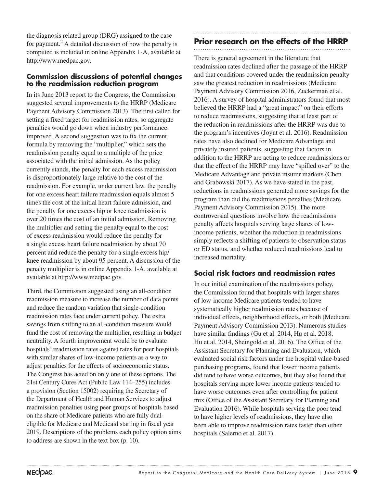the diagnosis related group (DRG) assigned to the case for payment.<sup>2</sup> A detailed discussion of how the penalty is computed is included in online Appendix 1-A, available at http://www.medpac.gov.

#### **Commission discussions of potential changes to the readmission reduction program**

In its June 2013 report to the Congress, the Commission suggested several improvements to the HRRP (Medicare Payment Advisory Commission 2013). The first called for setting a fixed target for readmission rates, so aggregate penalties would go down when industry performance improved. A second suggestion was to fix the current formula by removing the "multiplier," which sets the readmission penalty equal to a multiple of the price associated with the initial admission. As the policy currently stands, the penalty for each excess readmission is disproportionately large relative to the cost of the readmission. For example, under current law, the penalty for one excess heart failure readmission equals almost 5 times the cost of the initial heart failure admission, and the penalty for one excess hip or knee readmission is over 20 times the cost of an initial admission. Removing the multiplier and setting the penalty equal to the cost of excess readmission would reduce the penalty for a single excess heart failure readmission by about 70 percent and reduce the penalty for a single excess hip/ knee readmission by about 95 percent. A discussion of the penalty multiplier is in online Appendix 1-A, available at available at http://www.medpac.gov.

Third, the Commission suggested using an all-condition readmission measure to increase the number of data points and reduce the random variation that single-condition readmission rates face under current policy. The extra savings from shifting to an all-condition measure would fund the cost of removing the multiplier, resulting in budget neutrality. A fourth improvement would be to evaluate hospitals' readmission rates against rates for peer hospitals with similar shares of low-income patients as a way to adjust penalties for the effects of socioeconomic status. The Congress has acted on only one of these options. The 21st Century Cures Act (Public Law 114–255) includes a provision (Section 15002) requiring the Secretary of the Department of Health and Human Services to adjust readmission penalties using peer groups of hospitals based on the share of Medicare patients who are fully dualeligible for Medicare and Medicaid starting in fiscal year 2019. Descriptions of the problems each policy option aims to address are shown in the text box (p. 10).

# **Prior research on the effects of the HRRP**

There is general agreement in the literature that readmission rates declined after the passage of the HRRP and that conditions covered under the readmission penalty saw the greatest reduction in readmissions (Medicare Payment Advisory Commission 2016, Zuckerman et al. 2016). A survey of hospital administrators found that most believed the HRRP had a "great impact" on their efforts to reduce readmissions, suggesting that at least part of the reduction in readmissions after the HRRP was due to the program's incentives (Joynt et al. 2016). Readmission rates have also declined for Medicare Advantage and privately insured patients, suggesting that factors in addition to the HRRP are acting to reduce readmissions or that the effect of the HRRP may have "spilled over" to the Medicare Advantage and private insurer markets (Chen and Grabowski 2017). As we have stated in the past, reductions in readmissions generated more savings for the program than did the readmissions penalties (Medicare Payment Advisory Commission 2015). The more controversial questions involve how the readmissions penalty affects hospitals serving large shares of lowincome patients, whether the reduction in readmissions simply reflects a shifting of patients to observation status or ED status, and whether reduced readmissions lead to increased mortality.

### **Social risk factors and readmission rates**

In our initial examination of the readmissions policy, the Commission found that hospitals with larger shares of low-income Medicare patients tended to have systematically higher readmission rates because of individual effects, neighborhood effects, or both (Medicare Payment Advisory Commission 2013). Numerous studies have similar findings (Gu et al. 2014, Hu et al. 2018, Hu et al. 2014, Sheingold et al. 2016). The Office of the Assistant Secretary for Planning and Evaluation, which evaluated social risk factors under the hospital value-based purchasing programs, found that lower income patients did tend to have worse outcomes, but they also found that hospitals serving more lower income patients tended to have worse outcomes even after controlling for patient mix (Office of the Assistant Secretary for Planning and Evaluation 2016). While hospitals serving the poor tend to have higher levels of readmissions, they have also been able to improve readmission rates faster than other hospitals (Salerno et al. 2017).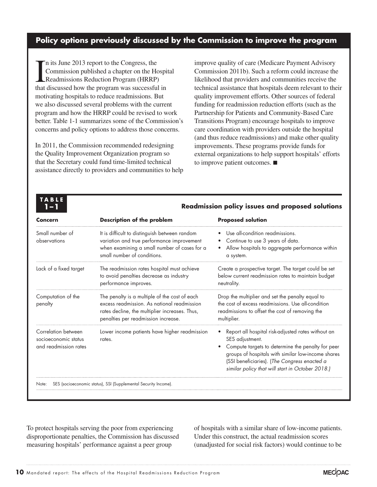### **Policy options previously discussed by the Commission to improve the program**

In its June 2013 report to the Congress, the<br>Commission published a chapter on the Hose<br>Readmissions Reduction Program (HRRP) n its June 2013 report to the Congress, the Commission published a chapter on the Hospital that discussed how the program was successful in motivating hospitals to reduce readmissions. But we also discussed several problems with the current program and how the HRRP could be revised to work better. Table 1-1 summarizes some of the Commission's concerns and policy options to address those concerns.

In 2011, the Commission recommended redesigning the Quality Improvement Organization program so that the Secretary could fund time-limited technical assistance directly to providers and communities to help improve quality of care (Medicare Payment Advisory Commission 2011b). Such a reform could increase the likelihood that providers and communities receive the technical assistance that hospitals deem relevant to their quality improvement efforts. Other sources of federal funding for readmission reduction efforts (such as the Partnership for Patients and Community-Based Care Transitions Program) encourage hospitals to improve care coordination with providers outside the hospital (and thus reduce readmissions) and make other quality improvements. These programs provide funds for external organizations to help support hospitals' efforts to improve patient outcomes. ■

# **TABLE**

| <b>Concern</b>                                                       | <b>Description of the problem</b>                                                                                                                                                     | <b>Proposed solution</b>                                                                                                                                                                                                                                                             |
|----------------------------------------------------------------------|---------------------------------------------------------------------------------------------------------------------------------------------------------------------------------------|--------------------------------------------------------------------------------------------------------------------------------------------------------------------------------------------------------------------------------------------------------------------------------------|
| Small number of<br>observations                                      | It is difficult to distinguish between random<br>variation and true performance improvement<br>when examining a small number of cases for a<br>small number of conditions.            | Use all-condition readmissions.<br>Continue to use 3 years of data.<br>Allow hospitals to aggregate performance within<br>a system.                                                                                                                                                  |
| Lack of a fixed target                                               | The readmission rates hospital must achieve<br>to avoid penalties decrease as industry<br>performance improves.                                                                       | Create a prospective target. The target could be set<br>below current readmission rates to maintain budget<br>neutrality.                                                                                                                                                            |
| Computation of the<br>penalty                                        | The penalty is a multiple of the cost of each<br>excess readmission. As national readmission<br>rates decline, the multiplier increases. Thus,<br>penalties per readmission increase. | Drop the multiplier and set the penalty equal to<br>the cost of excess readmissions. Use all-condition<br>readmissions to offset the cost of removing the<br>multiplier.                                                                                                             |
| Correlation between<br>socioeconomic status<br>and readmission rates | Lower income patients have higher readmission<br>rates.                                                                                                                               | Report all hospital risk-adjusted rates without an<br>SES adjustment.<br>Compute targets to determine the penalty for peer<br>groups of hospitals with similar low-income shares<br>(SSI beneficiaries). (The Congress enacted a<br>similar policy that will start in October 2018.) |
| Note:                                                                | SES (socioeconomic status), SSI (Supplemental Security Income).                                                                                                                       |                                                                                                                                                                                                                                                                                      |

**1–1 Readmission policy issues and proposed solutions**

To protect hospitals serving the poor from experiencing disproportionate penalties, the Commission has discussed measuring hospitals' performance against a peer group

of hospitals with a similar share of low-income patients. Under this construct, the actual readmission scores (unadjusted for social risk factors) would continue to be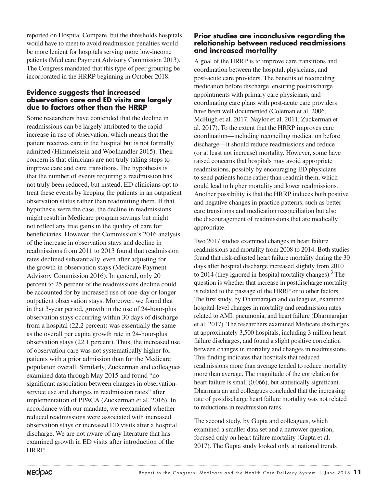reported on Hospital Compare, but the thresholds hospitals would have to meet to avoid readmission penalties would be more lenient for hospitals serving more low-income patients (Medicare Payment Advisory Commission 2013). The Congress mandated that this type of peer grouping be incorporated in the HRRP beginning in October 2018.

#### **Evidence suggests that increased observation care and ED visits are largely due to factors other than the HRRP**

Some researchers have contended that the decline in readmissions can be largely attributed to the rapid increase in use of observation, which means that the patient receives care in the hospital but is not formally admitted (Himmelstein and Woolhandler 2015). Their concern is that clinicians are not truly taking steps to improve care and care transitions. The hypothesis is that the number of events requiring a readmission has not truly been reduced, but instead, ED clinicians opt to treat these events by keeping the patients in an outpatient observation status rather than readmitting them. If that hypothesis were the case, the decline in readmissions might result in Medicare program savings but might not reflect any true gains in the quality of care for beneficiaries. However, the Commission's 2016 analysis of the increase in observation stays and decline in readmissions from 2011 to 2013 found that readmission rates declined substantially, even after adjusting for the growth in observation stays (Medicare Payment Advisory Commission 2016). In general, only 20 percent to 25 percent of the readmissions decline could be accounted for by increased use of one-day or longer outpatient observation stays. Moreover, we found that in that 3-year period, growth in the use of 24-hour-plus observation stays occurring within 30 days of discharge from a hospital (22.2 percent) was essentially the same as the overall per capita growth rate in 24-hour-plus observation stays (22.1 percent). Thus, the increased use of observation care was not systematically higher for patients with a prior admission than for the Medicare population overall. Similarly, Zuckerman and colleagues examined data through May 2015 and found "no significant association between changes in observationservice use and changes in readmission rates" after implementation of PPACA (Zuckerman et al. 2016). In accordance with our mandate, we reexamined whether reduced readmissions were associated with increased observation stays or increased ED visits after a hospital discharge. We are not aware of any literature that has examined growth in ED visits after introduction of the HRRP.

#### **Prior studies are inconclusive regarding the relationship between reduced readmissions and increased mortality**

A goal of the HRRP is to improve care transitions and coordination between the hospital, physicians, and post-acute care providers. The benefits of reconciling medication before discharge, ensuring postdischarge appointments with primary care physicians, and coordinating care plans with post-acute care providers have been well documented (Coleman et al. 2006, McHugh et al. 2017, Naylor et al. 2011, Zuckerman et al. 2017). To the extent that the HRRP improves care coordination—including reconciling medication before discharge—it should reduce readmissions and reduce (or at least not increase) mortality. However, some have raised concerns that hospitals may avoid appropriate readmissions, possibly by encouraging ED physicians to send patients home rather than readmit them, which could lead to higher mortality and lower readmissions. Another possibility is that the HRRP induces both positive and negative changes in practice patterns, such as better care transitions and medication reconciliation but also the discouragement of readmissions that are medically appropriate.

Two 2017 studies examined changes in heart failure readmissions and mortality from 2008 to 2014. Both studies found that risk-adjusted heart failure mortality during the 30 days after hospital discharge increased slightly from 2010 to 2014 (they ignored in-hospital mortality changes).<sup>3</sup> The question is whether that increase in postdischarge mortality is related to the passage of the HRRP or to other factors. The first study, by Dharmarajan and colleagues, examined hospital-level changes in mortality and readmission rates related to AMI, pneumonia, and heart failure (Dharmarajan et al. 2017). The researchers examined Medicare discharges at approximately 3,500 hospitals, including 3 million heart failure discharges, and found a slight positive correlation between changes in mortality and changes in readmissions. This finding indicates that hospitals that reduced readmissions more than average tended to reduce mortality more than average. The magnitude of the correlation for heart failure is small (0.066), but statistically significant. Dharmarajan and colleagues concluded that the increasing rate of postdischarge heart failure mortality was not related to reductions in readmission rates.

The second study, by Gupta and colleagues, which examined a smaller data set and a narrower question, focused only on heart failure mortality (Gupta et al. 2017). The Gupta study looked only at national trends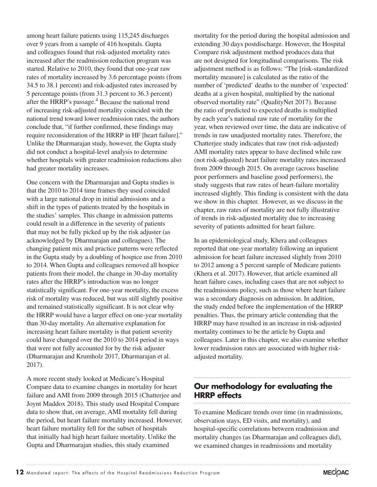among heart failure patients using 115,245 discharges over 9 years from a sample of 416 hospitals. Gupta and colleagues found that risk-adjusted mortality rates increased after the readmission reduction program was started. Relative to 2010, they found that one-year raw rates of mortality increased by 3.6 percentage points (from 34.5 to 38.1 percent) and risk-adjusted rates increased by 5 percentage points (from 31.3 percent to 36.3 percent) after the HRRP's passage.<sup>4</sup> Because the national trend of increasing risk-adjusted mortality coincided with the national trend toward lower readmission rates, the authors conclude that, "if further confirmed, these findings may require reconsideration of the HRRP in HF [heart failure]." Unlike the Dharmarajan study, however, the Gupta study did not conduct a hospital-level analysis to determine whether hospitals with greater readmission reductions also had greater mortality increases.

One concern with the Dharmarajan and Gupta studies is that the 2010 to 2014 time frames they used coincided with a large national drop in initial admissions and a shift in the types of patients treated by the hospitals in the studies' samples. This change in admission patterns could result in a difference in the severity of patients that may not be fully picked up by the risk adjuster (as acknowledged by Dharmarajan and colleagues). The changing patient mix and practice patterns were reflected in the Gupta study by a doubling of hospice use from 2010 to 2014. When Gupta and colleagues removed all hospice patients from their model, the change in 30-day mortality rates after the HRRP's introduction was no longer statistically significant. For one-year mortality, the excess risk of mortality was reduced, but was still slightly positive and remained statistically significant. It is not clear why the HRRP would have a larger effect on one-year mortality than 30-day mortality. An alternative explanation for increasing heart failure mortality is that patient severity could have changed over the 2010 to 2014 period in ways that were not fully accounted for by the risk adjuster (Dharmarajan and Krumholz 2017, Dharmarajan et al. 2017).

A more recent study looked at Medicare's Hospital Compare data to examine changes in mortality for heart failure and AMI from 2009 through 2015 (Chatterjee and Joynt Maddox 2018). This study used Hospital Compare data to show that, on average, AMI mortality fell during the period, but heart failure mortality increased. However, heart failure mortality fell for the subset of hospitals that initially had high heart failure mortality. Unlike the Gupta and Dharmarajan studies, this study examined

mortality for the period during the hospital admission and extending 30 days postdischarge. However, the Hospital Compare risk adjustment method produces data that are not designed for longitudinal comparisons. The risk adjustment method is as follows: "The [risk-standardized mortality measure] is calculated as the ratio of the number of 'predicted' deaths to the number of 'expected' deaths at a given hospital, multiplied by the national observed mortality rate" (QualityNet 2017). Because the ratio of predicted to expected deaths is multiplied by each year's national raw rate of mortality for the year, when reviewed over time, the data are indicative of trends in raw unadjusted mortality rates. Therefore, the Chatterjee study indicates that raw (not risk-adjusted) AMI mortality rates appear to have declined while raw (not risk-adjusted) heart failure mortality rates increased from 2009 through 2015. On average (across baseline poor performers and baseline good performers), the study suggests that raw rates of heart-failure mortality increased slightly. This finding is consistent with the data we show in this chapter. However, as we discuss in the chapter, raw rates of mortality are not fully illustrative of trends in risk-adjusted mortality due to increasing severity of patients admitted for heart failure.

In an epidemiological study, Khera and colleagues reported that one-year mortality following an inpatient admission for heart failure increased slightly from 2010 to 2012 among a 5 percent sample of Medicare patients (Khera et al. 2017). However, that article examined all heart failure cases, including cases that are not subject to the readmissions policy, such as those where heart failure was a secondary diagnosis on admission. In addition, the study ended before the implementation of the HRRP penalties. Thus, the primary article contending that the HRRP may have resulted in an increase in risk-adjusted mortality continues to be the article by Gupta and colleagues. Later in this chapter, we also examine whether lower readmission rates are associated with higher riskadjusted mortality.

# **Our methodology for evaluating the HRRP effects**

To examine Medicare trends over time (in readmissions, observation stays, ED visits, and mortality), and hospital-specific correlations between readmission and mortality changes (as Dharmarajan and colleagues did), we examined changes in readmissions and mortality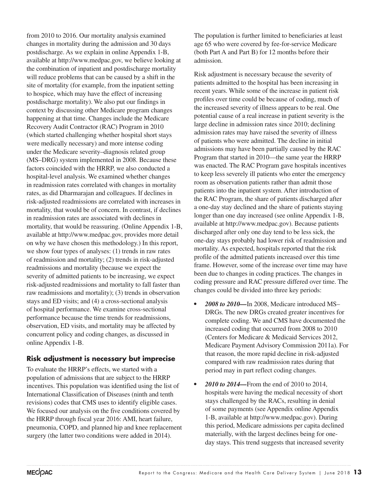from 2010 to 2016. Our mortality analysis examined changes in mortality during the admission and 30 days postdischarge. As we explain in online Appendix 1-B, available at http://www.medpac.gov, we believe looking at the combination of inpatient and postdischarge mortality will reduce problems that can be caused by a shift in the site of mortality (for example, from the inpatient setting to hospice, which may have the effect of increasing postdischarge mortality). We also put our findings in context by discussing other Medicare program changes happening at that time. Changes include the Medicare Recovery Audit Contractor (RAC) Program in 2010 (which started challenging whether hospital short stays were medically necessary) and more intense coding under the Medicare severity–diagnosis related group (MS–DRG) system implemented in 2008. Because these factors coincided with the HRRP, we also conducted a hospital-level analysis. We examined whether changes in readmission rates correlated with changes in mortality rates, as did Dharmarajan and colleagues. If declines in risk-adjusted readmissions are correlated with increases in mortality, that would be of concern. In contrast, if declines in readmission rates are associated with declines in mortality, that would be reassuring. (Online Appendix 1-B, available at http://www.medpac.gov, provides more detail on why we have chosen this methodology.) In this report, we show four types of analyses: (1) trends in raw rates of readmission and mortality; (2) trends in risk-adjusted readmissions and mortality (because we expect the severity of admitted patients to be increasing, we expect risk-adjusted readmissions and mortality to fall faster than raw readmissions and mortality); (3) trends in observation stays and ED visits; and (4) a cross-sectional analysis of hospital performance. We examine cross-sectional performance because the time trends for readmissions, observation, ED visits, and mortality may be affected by concurrent policy and coding changes, as discussed in online Appendix 1-B.

### **Risk adjustment is necessary but imprecise**

To evaluate the HRRP's effects, we started with a population of admissions that are subject to the HRRP incentives. This population was identified using the list of International Classification of Diseases (ninth and tenth revisions) codes that CMS uses to identify eligible cases. We focused our analysis on the five conditions covered by the HRRP through fiscal year 2016: AMI, heart failure, pneumonia, COPD, and planned hip and knee replacement surgery (the latter two conditions were added in 2014).

The population is further limited to beneficiaries at least age 65 who were covered by fee-for-service Medicare (both Part A and Part B) for 12 months before their admission.

Risk adjustment is necessary because the severity of patients admitted to the hospital has been increasing in recent years. While some of the increase in patient risk profiles over time could be because of coding, much of the increased severity of illness appears to be real. One potential cause of a real increase in patient severity is the large decline in admission rates since 2010; declining admission rates may have raised the severity of illness of patients who were admitted. The decline in initial admissions may have been partially caused by the RAC Program that started in 2010—the same year the HRRP was enacted. The RAC Program gave hospitals incentives to keep less severely ill patients who enter the emergency room as observation patients rather than admit those patients into the inpatient system. After introduction of the RAC Program, the share of patients discharged after a one-day stay declined and the share of patients staying longer than one day increased (see online Appendix 1-B, available at http://www.medpac.gov). Because patients discharged after only one day tend to be less sick, the one-day stays probably had lower risk of readmission and mortality. As expected, hospitals reported that the risk profile of the admitted patients increased over this time frame. However, some of the increase over time may have been due to changes in coding practices. The changes in coding pressure and RAC pressure differed over time. The changes could be divided into three key periods:

- *• 2008 to 2010—*In 2008, Medicare introduced MS– DRGs. The new DRGs created greater incentives for complete coding. We and CMS have documented the increased coding that occurred from 2008 to 2010 (Centers for Medicare & Medicaid Services 2012, Medicare Payment Advisory Commission 2011a). For that reason, the more rapid decline in risk-adjusted compared with raw readmission rates during that period may in part reflect coding changes.
- *• 2010 to 2014—*From the end of 2010 to 2014, hospitals were having the medical necessity of short stays challenged by the RACs, resulting in denial of some payments (see Appendix online Appendix 1-B, available at http://www.medpac.gov). During this period, Medicare admissions per capita declined materially, with the largest declines being for oneday stays. This trend suggests that increased severity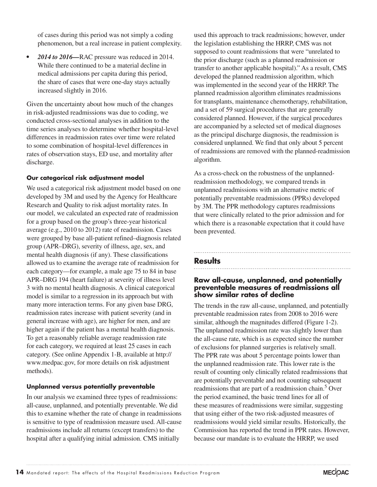of cases during this period was not simply a coding phenomenon, but a real increase in patient complexity.

*• 2014 to 2016—*RAC pressure was reduced in 2014. While there continued to be a material decline in medical admissions per capita during this period, the share of cases that were one-day stays actually increased slightly in 2016.

Given the uncertainty about how much of the changes in risk-adjusted readmissions was due to coding, we conducted cross-sectional analyses in addition to the time series analyses to determine whether hospital-level differences in readmission rates over time were related to some combination of hospital-level differences in rates of observation stays, ED use, and mortality after discharge.

#### **Our categorical risk adjustment model**

We used a categorical risk adjustment model based on one developed by 3M and used by the Agency for Healthcare Research and Quality to risk adjust mortality rates. In our model, we calculated an expected rate of readmission for a group based on the group's three-year historical average (e.g., 2010 to 2012) rate of readmission. Cases were grouped by base all-patient refined–diagnosis related group (APR–DRG), severity of illness, age, sex, and mental health diagnosis (if any). These classifications allowed us to examine the average rate of readmission for each category—for example, a male age 75 to 84 in base APR–DRG 194 (heart failure) at severity of illness level 3 with no mental health diagnosis. A clinical categorical model is similar to a regression in its approach but with many more interaction terms. For any given base DRG, readmission rates increase with patient severity (and in general increase with age), are higher for men, and are higher again if the patient has a mental health diagnosis. To get a reasonably reliable average readmission rate for each category, we required at least 25 cases in each category. (See online Appendix 1-B, available at http:// www.medpac.gov, for more details on risk adjustment methods).

#### **Unplanned versus potentially preventable**

In our analysis we examined three types of readmissions: all-cause, unplanned, and potentially preventable. We did this to examine whether the rate of change in readmissions is sensitive to type of readmission measure used. All-cause readmissions include all returns (except transfers) to the hospital after a qualifying initial admission. CMS initially

used this approach to track readmissions; however, under the legislation establishing the HRRP, CMS was not supposed to count readmissions that were "unrelated to the prior discharge (such as a planned readmission or transfer to another applicable hospital)." As a result, CMS developed the planned readmission algorithm, which was implemented in the second year of the HRRP. The planned readmission algorithm eliminates readmissions for transplants, maintenance chemotherapy, rehabilitation, and a set of 59 surgical procedures that are generally considered planned. However, if the surgical procedures are accompanied by a selected set of medical diagnoses as the principal discharge diagnosis, the readmission is considered unplanned. We find that only about 5 percent of readmissions are removed with the planned-readmission algorithm.

As a cross-check on the robustness of the unplannedreadmission methodology, we compared trends in unplanned readmissions with an alternative metric of potentially preventable readmissions (PPRs) developed by 3M. The PPR methodology captures readmissions that were clinically related to the prior admission and for which there is a reasonable expectation that it could have been prevented.

### **Results**

#### **Raw all-cause, unplanned, and potentially preventable measures of readmissions all show similar rates of decline**

The trends in the raw all-cause, unplanned, and potentially preventable readmission rates from 2008 to 2016 were similar, although the magnitudes differed (Figure 1-2). The unplanned readmission rate was slightly lower than the all-cause rate, which is as expected since the number of exclusions for planned surgeries is relatively small. The PPR rate was about 5 percentage points lower than the unplanned readmission rate. This lower rate is the result of counting only clinically related readmissions that are potentially preventable and not counting subsequent readmissions that are part of a readmission chain.<sup>5</sup> Over the period examined, the basic trend lines for all of these measures of readmissions were similar, suggesting that using either of the two risk-adjusted measures of readmissions would yield similar results. Historically, the Commission has reported the trend in PPR rates. However, because our mandate is to evaluate the HRRP, we used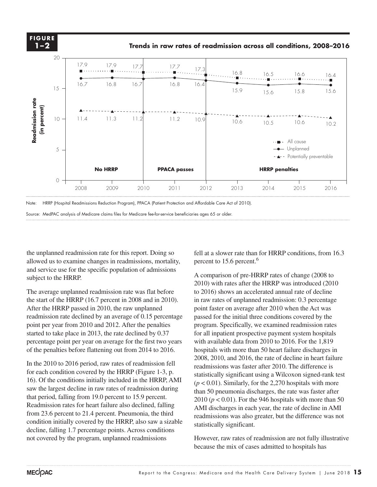

Note: HRRP (Hospital Readmissions Reduction Program), PPACA (Patient Protection and Affordable Care Act of 2010).

Source: MedPAC analysis of Medicare claims files for Medicare fee-for-service beneficiaries ages 65 or older.

the unplanned readmission rate for this report. Doing so allowed us to examine changes in readmissions, mortality, and service use for the specific population of admissions and set the asy for the speem.

The average unplanned readmission rate was flat before the start of the HRRP (16.7 percent in 2008 and in 2010). After the HRRP passed in 2010, the raw unplanned readmission rate declined by an average of 0.15 percentage passed for the point per year from 2010 and 2012. After the penalties program started to take place in 2013, the rate declined by 0.37 percentage point per year on average for the first two years of the penalties before flattening out from 2014 to 2016. hospitals with

In the 2010 to 2016 period, raw rates of readmission fell  $\frac{2008, 2010, \text{ and } 2010}{\text{readmissions was fact}}$ for each condition covered by the HRRP (Figure 1-3, p. 16). Of the conditions initially included in the HRRP, AMI saw the largest decline in raw rates of readmission during that period, falling from 19.0 percent to 15.9 percent.  $201$ Readmission rates for heart failure also declined, falling from 23.6 percent to 21.4 percent. Pneumonia, the third condition initially covered by the HRRP, also saw a sizable decline, falling 1.7 percentage points. Across conditions not covered by the program, unplanned readmissions

fell at a slower rate than for HRRP conditions, from 16.3 percent to 15.6 percent.<sup>6</sup>

A comparison of pre-HRRP rates of change (2008 to 2010) with rates after the HRRP was introduced (2010 to 2016) shows an accelerated annual rate of decline in raw rates of unplanned readmission: 0.3 percentage point faster on average after 2010 when the Act was passed for the initial three conditions covered by the program. Specifically, we examined readmission rates for all inpatient prospective payment system hospitals tage point per year on average for the first two years with available data from  $2010$  to  $2016$ . For the  $1,819$ hospitals with more than 50 heart failure discharges in 2008, 2010, and 2016, the rate of decline in heart failure readmissions was faster after 2010. The difference is ch condition covered by the HRRP (Figure 1-3, p. statistically significant using a Wilcoxon signed-rank test  $\frac{1}{2}$  $(p < 0.01)$ . Similarly, for the 2,270 hospitals with more than 50 pneumonia discharges, the rate was faster after 2010 ( $p < 0.01$ ). For the 946 hospitals with more than 50 AMI discharges in each year, the rate of decline in AMI readmissions was also greater, but the difference was not statistically significant.

> However, raw rates of readmission are not fully illustrative because the mix of cases admitted to hospitals has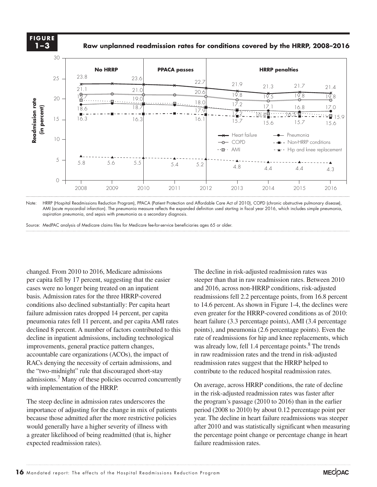**FIGURE 1–3**

#### **Raw unplanned readmission rates for conditions covered by the HRRP, 2008–2016**



Note: HRRP (Hospital Readmissions Reduction Program), PPACA (Patient Protection and Affordable Care Act of 2010), COPD (chronic obstructive pulmonary disease), AMI (acute myocardial infarction). The pneumonia measure reflects the expanded definition used starting in fiscal year 2016, which includes simple pneumonia, aspiration pneumonia, and sepsis with pneumonia as a secondary diagnosis.

Source: MedPAC analysis of Medicare claims files for Medicare fee-for-service beneficiaries ages 65 or older.

wo-midnight" rule that discouraged short-stay contribute to the reduced hospital readmission rates. changed. From 2010 to 2016, Medicare admissions per capita fell by 17 percent, suggesting that the easier  $\frac{1}{2}$  cases were no longer being treated on an inpatient basis. Admission rates for the three HRRP-covered conditions also declined substantially: Per capita heart failure admission rates dropped 14 percent, per capita even greate<br>recovered as the data is in the data is in the data is in the data is in the data is in the data is in the datasheet. pneumonia rates fell 11 percent, and per capita AMI rates declined 8 percent. A number of factors contributed to this points), decline in inpatient admissions, including technological improvements, general practice pattern changes, mprovements, general practice pattern entity, was already<br>accountable care organizations (ACOs), the impact of in raw readi RACs denying the necessity of certain admissions, and readmission rates suggested. the "two-midnight" rule that discouraged short-stay admissions.<sup>7</sup> Many of these policies occurred concurrently with implementation of the HRRP.  $\frac{1}{\Gamma}$  is the paragraph styles (and object styles) to format.

The steep decline in admission rates underscores the importance of adjusting for the change in mix of patients because those admitted after the more restrictive policies would generally have a higher severity of illness with a greater likelihood of being readmitted (that is, higher expected readmission rates).

The decline in risk-adjusted readmission rates was steeper than that in raw readmission rates. Between 2010 and 2016, across non-HRRP conditions, risk-adjusted readmissions fell 2.2 percentage points, from 16.8 percent to 14.6 percent. As shown in Figure 1-4, the declines were even greater for the HRRP-covered conditions as of 2010: heart failure (3.3 percentage points), AMI (3.4 percentage points), and pneumonia (2.6 percentage points). Even the e in inpatient admissions, including technological rate of readmissions for hip and knee replacements, which was already low, fell 1.4 percentage points.<sup>8</sup> The trends in raw readmission rates and the trend in risk-adjusted readmission rates suggest that the HRRP helped to

> On average, across HRRP conditions, the rate of decline in the risk-adjusted readmission rates was faster after the program's passage (2010 to 2016) than in the earlier period (2008 to 2010) by about 0.12 percentage point per year. The decline in heart failure readmissions was steeper after 2010 and was statistically significant when measuring the percentage point change or percentage change in heart failure readmission rates.

**Title here....**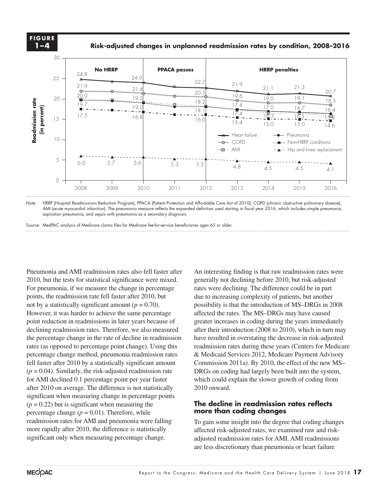**FIGURE 1–4**

**Risk-adjusted changes in unplanned readmission rates by condition, 2008–2016** 

**Title here....**



Note: HRRP (Hospital Readmissions Reduction Program), PPACA (Patient Protection and Affordable Care Act of 2010), COPD (chronic obstructive pulmonary disease), AMI (acute myocardial infarction). The pneumonia measure reflects the expanded definition used starting in fiscal year 2016, which includes simple pneumonia, aspiration pneumonia, and sepsis with pneumonia as a secondary diagnosis.

Source: MedPAC analysis of Medicare claims files for Medicare fee-for-service beneficiaries ages 65 or older.

Pneumonia and AMI readmission rates also fell faster after 2010, but the tests for statistical significance were mixed. For pneumonia, if we measure the change in percentage points, the readmission rate fell faster after 2010, but not by a statistically significant amount  $(p = 0.70)$ . However, it was harder to achieve the same percentage point reduction in readmissions in later years because of greater increasing the data is in the data is in the data is in the data is in the data in the data is in the data is in the data is in the data is in the data is i declining readmission rates. Therefore, we also measured after the the percentage change in the rate of decline in readmission rates (as opposed to percentage point change). Using this rates (as opposed to percentage point entingly). Using ans<br>percentage change method, pneumonia readmission rates & Medicaio fell faster after 2010 by a statistically significant amount Commission 2011a).  $(p = 0.04)$ . Similarly, the risk-adjusted readmission rate for AMI declined 0.1 percentage point per year faster after 2010 on average. The difference is not statistically significant when measuring change in percentage points  $(p = 0.22)$  but is significant when measuring the percentage change  $(p = 0.01)$ . Therefore, while readmission rates for AMI and pneumonia were falling more rapidly after 2010, the difference is statistically significant only when measuring percentage change.

An interesting finding is that raw readmission rates were generally not declining before 2010, but risk-adjusted rates were declining. The difference could be in part due to increasing complexity of patients, but another possibility is that the introduction of MS–DRGs in 2008 affected the rates. The MS–DRGs may have caused greater increases in coding during the years immediately after their introduction (2008 to 2010), which in turn may resulted in overstating the decrease in risk-adjusted resetting the decrease in risk-adjusted readmission rates during these years (Centers for Medicare & Medicaid Services 2012, Medicare Payment Advisory Commission 2011a). By 2010, the effect of the new MS– 04). Similarly, the risk-adjusted readmission rate DRGs on coding had largely been built into the system, which could explain the slower growth of coding from 2010 onward.

#### **The decline in readmission rates reflects more than coding changes**

To gain some insight into the degree that coding changes affected risk-adjusted rates, we examined raw and riskadjusted readmission rates for AMI. AMI readmissions are less discretionary than pneumonia or heart failure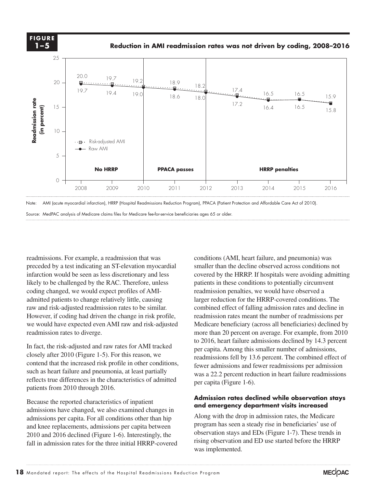**FIGURE 1–5**

**Reduction in AMI readmission rates was not driven by coding, 2008–2016** 



Note: AMI (acute myocardial infarction), HRRP (Hospital Readmissions Reduction Program), PPACA (Patient Protection and Affordable Care Act of 2010).

Source: MedPAC analysis of Medicare claims files for Medicare fee-for-service beneficiaries ages 65 or older.

readmissions. For example, a readmission that was preceded by a test indicating an ST-elevation myocardial infarction would be seen as less discretionary and less likely to be challenged by the RAC. Therefore, unless coding changed, we would expect profiles of AMIadmitted patients to change relatively little, causing raw and risk-adjusted readmission rates to be similar. However, if coding had driven the change in risk profile, readmission we would have expected even AMI raw and risk-adjusted Medica readmission rates to diverge.

In fact, the risk-adjusted and raw rates for AMI tracked  $\frac{1}{2}$  and the dashed and taw rates for  $\frac{1}{2}$  and taked oper capita.  $\frac{1}{2}$  per capital. contend that the increased risk profile in other conditions,  $\frac{1}{\text{equation}}$  for deterministic the  $\frac{1}{\text{equation}}$ such as heart failure and pneumonia, at least partially reflects true differences in the characteristics of admitted patients from 2010 through 2016.  $\blacksquare$  because the object styles) to format. The format object styles (and object styles) to format.

Because the reported characteristics of inpatient admissions have changed, we also examined changes in admissions per capita. For all conditions other than hip and knee replacements, admissions per capita between 2010 and 2016 declined (Figure 1-6). Interestingly, the fall in admission rates for the three initial HRRP-covered

conditions (AMI, heart failure, and pneumonia) was smaller than the decline observed across conditions not covered by the HRRP. If hospitals were avoiding admitting patients in these conditions to potentially circumvent readmission penalties, we would have observed a larger reduction for the HRRP-covered conditions. The combined effect of falling admission rates and decline in readmission rates meant the number of readmissions per Medicare beneficiary (across all beneficiaries) declined by more than 20 percent on average. For example, from 2010 to 2016, heart failure admissions declined by 14.3 percent per capita. Among this smaller number of admissions, readmissions fell by 13.6 percent. The combined effect of fewer admissions and fewer readmissions per admission s heart failure and pneumonia, at least partially was a 22.2 percent reduction in heart failure readmissions per capita (Figure 1-6).

#### **Admission rates declined while observation stays and emergency department visits increased**

Along with the drop in admission rates, the Medicare program has seen a steady rise in beneficiaries' use of observation stays and EDs (Figure 1-7). These trends in rising observation and ED use started before the HRRP was implemented.

**Title here....**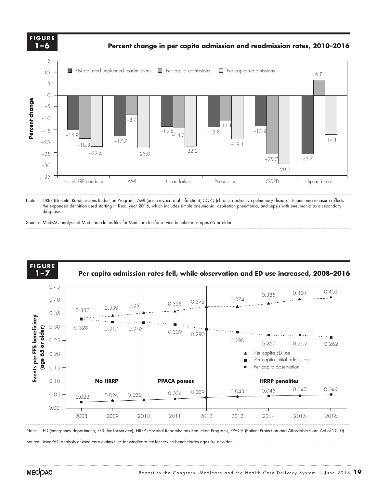

Note: HRRP (Hospital Readmissions Reduction Program), AMI (acute myocardial infarction), COPD (chronic obstructive pulmonary disease). Pneumonia measure reflects the expanded definition used starting in fiscal year 2016, which includes simple pneumonia, aspiration pneumonia, and sepsis with pneumonia as a secondary diagnosis.

Source: MedPAC analysis of Medicare claims files for Medicare fee-for-service beneficiaries ages 65 or older.



.<br>Note: ED (emergency department), FFS (fee-for-service), HRRP (Hospital Readmissions Reduction Program), PPACA (Patient Protection and Affordable Care Act of 2010).

Source: MedPAC analysis of Medicare claims files for Medicare fee-for-service beneficiaries ages 65 or older.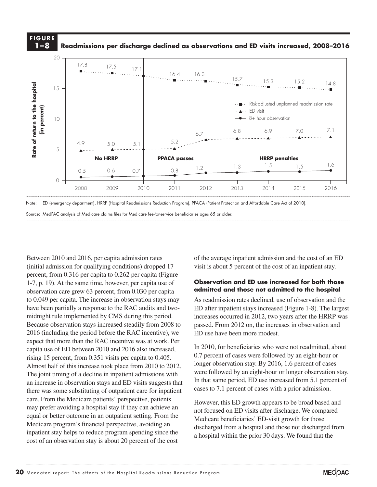

Note: ED (emergency department), HRRP (Hospital Readmissions Reduction Program), PPACA (Patient Protection and Affordable Care Act of 2010).

Source: MedPAC analysis of Medicare claims files for Medicare fee-for-service beneficiaries ages 65 or older.

Between 2010 and 2016, per capita admission rates (initial admission for qualifying conditions) dropped 17 percent, from 0.316 per capita to 0.262 per capita (Figure 1-7, p. 19). At the same time, however, per capita use of observation care grew 63 percent, from 0.030 per capita to 0.049 per capita. The increase in observation stays may have been partially a response to the RAC audits and twomidnight rule implemented by CMS during this period. 
increases on Because observation stays increased steadily from 2008 to Because observation stays increased steadily from 2006 to passed.<br>2016 (including the period before the RAC incentive), we ED use expect that more than the RAC incentive was at work. Per capita use of ED between 2010 and 2016 also increased,  $\frac{\ln 2010}{0.7}$  not rising 15 percent, from 0.351 visits per capita to 0.405. Almost half of this increase took place from 2010 to 2012. longer observation sta an increase in observation stays and ED visits suggests that there was some substituting of outpatient care for inpatient  $\qquad^{\text{case}}$ care. From the Medicare patients' perspective, patients may prefer avoiding a hospital stay if they can achieve an equal or better outcome in an outpatient setting. From the Medicare program's financial perspective, avoiding an inpatient stay helps to reduce program spending since the cost of an observation stay is about 20 percent of the cost

of the average inpatient admission and the cost of an ED visit is about 5 percent of the cost of an inpatient stay.

#### **Observation and ED use increased for both those admitted and those not admitted to the hospital**

As readmission rates declined, use of observation and the ED after inpatient stays increased (Figure 1-8). The largest increases occurred in 2012, two years after the HRRP was passed. From 2012 on, the increases in observation and ED use have been more modest.

In 2010, for beneficiaries who were not readmitted, about 0.7 percent of cases were followed by an eight-hour or longer observation stay. By 2016, 1.6 percent of cases were followed by an eight-hour or longer observation stay. In that same period, ED use increased from 5.1 percent of cases to 7.1 percent of cases with a prior admission. The joint timing of a decline in inpatient admissions with were followed by an eight-hour or longer observation stay.

> However, this ED growth appears to be broad based and not focused on ED visits after discharge. We compared Medicare beneficiaries' ED-visit growth for those discharged from a hospital and those not discharged from a hospital within the prior 30 days. We found that the

**Title here....**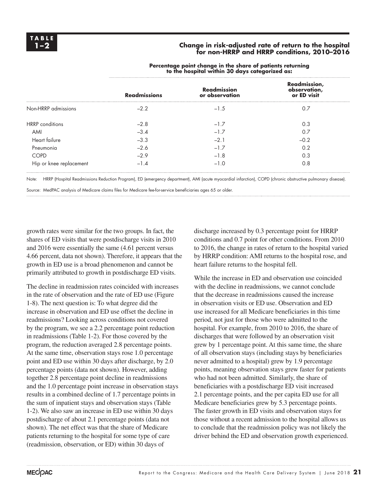#### **1–2 Change in risk-adjusted rate of return to the hospital for non-HRRP and HRRP conditions, 2010–2016**

|                         | <b>Readmissions</b> | <b>Readmission</b><br>or observation | Readmission,<br>observation,<br>or ED visit |
|-------------------------|---------------------|--------------------------------------|---------------------------------------------|
| Non-HRRP admissions     | $-2.2$              | $-1.5$                               | 0.7                                         |
| <b>HRRP</b> conditions  | $-2.8$              | $-1.7$                               | 0.3                                         |
| AMI                     | $-3.4$              | $-1.7$                               | 0.7                                         |
| Heart failure           | $-3.3$              | $-2.1$                               | $-0.2$                                      |
| Pneumonia               | $-2.6$              | $-1.7$                               | 0.2                                         |
| <b>COPD</b>             | $-2.9$              | $-1.8$                               | 0.3                                         |
| Hip or knee replacement | $-1.4$              | $-1.0$                               | 0.8                                         |

**Percentage point change in the share of patients returning to the hospital within 30 days categorized as:**

Note: HRRP (Hospital Readmissions Reduction Program), ED (emergency department), AMI (acute myocardial infarction), COPD (chronic obstructive pulmonary disease).

Source: MedPAC analysis of Medicare claims files for Medicare fee-for-service beneficiaries ages 65 or older.

growth rates were similar for the two groups. In fact, the shares of ED visits that were postdischarge visits in 2010 and 2016 were essentially the same (4.61 percent versus 4.66 percent, data not shown). Therefore, it appears that the growth in ED use is a broad phenomenon and cannot be primarily attributed to growth in postdischarge ED visits.

The decline in readmission rates coincided with increases in the rate of observation and the rate of ED use (Figure 1-8). The next question is: To what degree did the increase in observation and ED use offset the decline in readmissions? Looking across conditions not covered by the program, we see a 2.2 percentage point reduction in readmissions (Table 1-2). For those covered by the program, the reduction averaged 2.8 percentage points. At the same time, observation stays rose 1.0 percentage point and ED use within 30 days after discharge, by 2.0 percentage points (data not shown). However, adding together 2.8 percentage point decline in readmissions and the 1.0 percentage point increase in observation stays results in a combined decline of 1.7 percentage points in the sum of inpatient stays and observation stays (Table 1-2). We also saw an increase in ED use within 30 days postdischarge of about 2.1 percentage points (data not shown). The net effect was that the share of Medicare patients returning to the hospital for some type of care (readmission, observation, or ED) within 30 days of

discharge increased by 0.3 percentage point for HRRP conditions and 0.7 point for other conditions. From 2010 to 2016, the change in rates of return to the hospital varied by HRRP condition: AMI returns to the hospital rose, and heart failure returns to the hospital fell.

While the increase in ED and observation use coincided with the decline in readmissions, we cannot conclude that the decrease in readmissions caused the increase in observation visits or ED use. Observation and ED use increased for all Medicare beneficiaries in this time period, not just for those who were admitted to the hospital. For example, from 2010 to 2016, the share of discharges that were followed by an observation visit grew by 1 percentage point. At this same time, the share of all observation stays (including stays by beneficiaries never admitted to a hospital) grew by 1.9 percentage points, meaning observation stays grew faster for patients who had not been admitted. Similarly, the share of beneficiaries with a postdischarge ED visit increased 2.1 percentage points, and the per capita ED use for all Medicare beneficiaries grew by 5.3 percentage points. The faster growth in ED visits and observation stays for those without a recent admission to the hospital allows us to conclude that the readmission policy was not likely the driver behind the ED and observation growth experienced.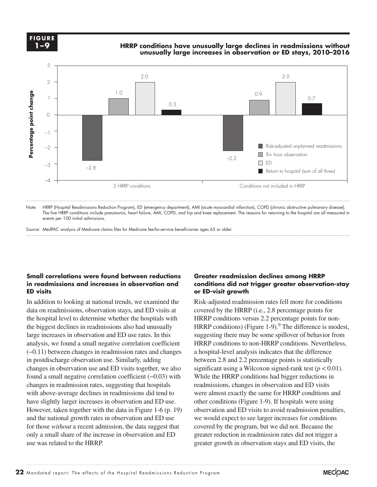**1-X FIGURE** 

## **HRRP conditions have unusually large declines in readmissions without Cumulative change.... FIGURE unusually large increases in observation or ED stays, 2010–2016**



Note: HRRP (Hospital Readmissions Reduction Program), ED (emergency department), AMI (acute myocardial infarction), COPD (chronic obstructive pulmonary disease). The five HRRP conditions include pneumonia, heart failure, AMI, COPD, and hip and knee replacement. The reasons for returning to the hospital are all measured in events per 100 initial admissions.

Source: MedPAC analysis of Medicare claims files for Medicare fee-for-service beneficiaries ages 65 or older.

#### **Small correlations were found between reductions in readmissions and increases in observation and ED visits**

In addition to looking at national trends, we examined the data on readmissions, observation stays, and ED visits at the hospital level to determine whether the hospitals with the biggest declines in readmissions also had unusually large increases in observation and ED use rates. In this analysis, we found a small negative correlation coefficient (−0.11) between changes in readmission rates and changes in postdischarge observation use. Similarly, adding changes in observation use and ED visits together, we also found a small negative correlation coefficient (−0.03) with changes in readmission rates, suggesting that hospitals with above-average declines in readmissions did tend to have slightly larger increases in observation and ED use. However, taken together with the data in Figure 1-6 (p. 19) and the national growth rates in observation and ED use for those *without* a recent admission, the data suggest that only a small share of the increase in observation and ED use was related to the HRRP. **Source:**<br> **Percentage point container and the beam of the point container of the point change is analysis (-0.1) in possible and the beam of the point change is we we and the beam of the wave was we we are we can be a we** 

#### **Greater readmission declines among HRRP conditions did not trigger greater observation-stay or ED-visit growth**

Risk-adjusted readmission rates fell more for conditions covered by the HRRP (i.e., 2.8 percentage points for HRRP conditions versus 2.2 percentage points for non-HRRP conditions) (Figure 1-9). $^{9}$  The difference is modest, suggesting there may be some spillover of behavior from HRRP conditions to non-HRRP conditions. Nevertheless, a hospital-level analysis indicates that the difference between 2.8 and 2.2 percentage points is statistically significant using a Wilcoxon signed-rank test  $(p < 0.01)$ . While the HRRP conditions had bigger reductions in readmissions, changes in observation and ED visits were almost exactly the same for HRRP conditions and other conditions (Figure 1-9). If hospitals were using observation and ED visits to avoid readmission penalties, we would expect to see larger increases for conditions covered by the program, but we did not. Because the greater reduction in readmission rates did not trigger a greater growth in observation stays and ED visits, the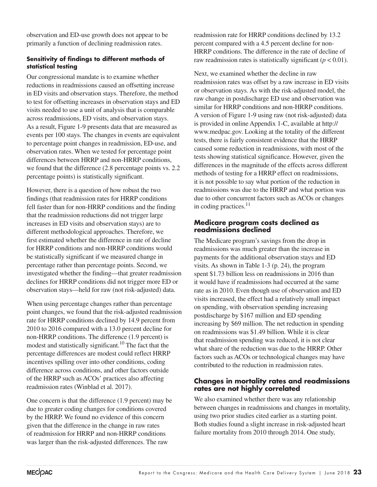observation and ED-use growth does not appear to be primarily a function of declining readmission rates.

#### **Sensitivity of findings to different methods of statistical testing**

Our congressional mandate is to examine whether reductions in readmissions caused an offsetting increase in ED visits and observation stays. Therefore, the method to test for offsetting increases in observation stays and ED visits needed to use a unit of analysis that is comparable across readmissions, ED visits, and observation stays. As a result, Figure 1-9 presents data that are measured as events per 100 stays. The changes in events are equivalent to percentage point changes in readmission, ED-use, and observation rates. When we tested for percentage point differences between HRRP and non-HRRP conditions, we found that the difference (2.8 percentage points vs. 2.2 percentage points) is statistically significant.

However, there is a question of how robust the two findings (that readmission rates for HRRP conditions fell faster than for non-HRRP conditions and the finding that the readmission reductions did not trigger large increases in ED visits and observation stays) are to different methodological approaches. Therefore, we first estimated whether the difference in rate of decline for HRRP conditions and non-HRRP conditions would be statistically significant if we measured change in percentage rather than percentage points. Second, we investigated whether the finding—that greater readmission declines for HRRP conditions did not trigger more ED or observation stays—held for raw (not risk-adjusted) data.

When using percentage changes rather than percentage point changes, we found that the risk-adjusted readmission rate for HRRP conditions declined by 14.9 percent from 2010 to 2016 compared with a 13.0 percent decline for non-HRRP conditions. The difference (1.9 percent) is modest and statistically significant.<sup>10</sup> The fact that the percentage differences are modest could reflect HRRP incentives spilling over into other conditions, coding difference across conditions, and other factors outside of the HRRP such as ACOs' practices also affecting readmission rates (Winblad et al. 2017).

One concern is that the difference (1.9 percent) may be due to greater coding changes for conditions covered by the HRRP. We found no evidence of this concern given that the difference in the change in raw rates of readmission for HRRP and non-HRRP conditions was larger than the risk-adjusted differences. The raw

readmission rate for HRRP conditions declined by 13.2 percent compared with a 4.5 percent decline for non-HRRP conditions. The difference in the rate of decline of raw readmission rates is statistically significant  $(p < 0.01)$ .

Next, we examined whether the decline in raw readmission rates was offset by a raw increase in ED visits or observation stays. As with the risk-adjusted model, the raw change in postdischarge ED use and observation was similar for HRRP conditions and non-HRRP conditions. A version of Figure 1-9 using raw (not risk-adjusted) data is provided in online Appendix 1-C, available at http:// www.medpac.gov. Looking at the totality of the different tests, there is fairly consistent evidence that the HRRP caused some reduction in readmissions, with most of the tests showing statistical significance. However, given the differences in the magnitude of the effects across different methods of testing for a HRRP effect on readmissions, it is not possible to say what portion of the reduction in readmissions was due to the HRRP and what portion was due to other concurrent factors such as ACOs or changes in coding practices.<sup>11</sup>

#### **Medicare program costs declined as readmissions declined**

The Medicare program's savings from the drop in readmissions was much greater than the increase in payments for the additional observation stays and ED visits. As shown in Table 1-3 (p. 24), the program spent \$1.73 billion less on readmissions in 2016 than it would have if readmissions had occurred at the same rate as in 2010. Even though use of observation and ED visits increased, the effect had a relatively small impact on spending, with observation spending increasing postdischarge by \$167 million and ED spending increasing by \$69 million. The net reduction in spending on readmissions was \$1.49 billion. While it is clear that readmission spending was reduced, it is not clear what share of the reduction was due to the HRRP. Other factors such as ACOs or technological changes may have contributed to the reduction in readmission rates.

#### **Changes in mortality rates and readmissions rates are not highly correlated**

We also examined whether there was any relationship between changes in readmissions and changes in mortality, using two prior studies cited earlier as a starting point. Both studies found a slight increase in risk-adjusted heart failure mortality from 2010 through 2014. One study,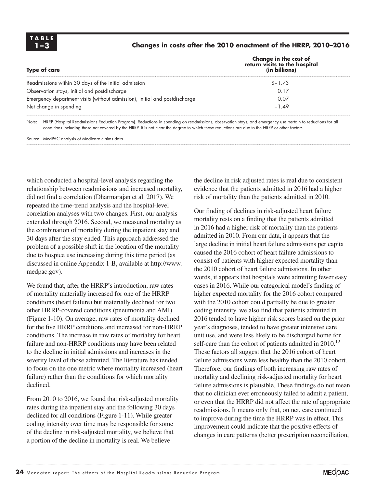#### **1–3 Changes in costs after the 2010 enactment of the HRRP, 2010–2016**

| <b>Type of care</b>                                                        | Change in the cost of<br>return visits to the hospital<br>(in billions) |  |
|----------------------------------------------------------------------------|-------------------------------------------------------------------------|--|
| Readmissions within 30 days of the initial admission                       | $$ - 1.73$                                                              |  |
| Observation stays, initial and postdischarge                               | 0.17                                                                    |  |
| Emergency department visits (without admission), initial and postdischarge | 0.07                                                                    |  |
| Net change in spending                                                     | $-1.49$                                                                 |  |

Note: HRRP (Hospital Readmissions Reduction Program). Reductions in spending on readmissions, observation stays, and emergency use pertain to reductions for all conditions including those not covered by the HRRP. It is not clear the degree to which these reductions are due to the HRRP or other factors.

Source: MedPAC analysis of Medicare claims data.

which conducted a hospital-level analysis regarding the relationship between readmissions and increased mortality, did not find a correlation (Dharmarajan et al. 2017). We repeated the time-trend analysis and the hospital-level correlation analyses with two changes. First, our analysis extended through 2016. Second, we measured mortality as the combination of mortality during the inpatient stay and 30 days after the stay ended. This approach addressed the problem of a possible shift in the location of the mortality due to hospice use increasing during this time period (as discussed in online Appendix 1-B, available at http://www. medpac.gov).

We found that, after the HRRP's introduction, raw rates of mortality materially increased for one of the HRRP conditions (heart failure) but materially declined for two other HRRP-covered conditions (pneumonia and AMI) (Figure 1-10). On average, raw rates of mortality declined for the five HRRP conditions and increased for non-HRRP conditions. The increase in raw rates of mortality for heart failure and non-HRRP conditions may have been related to the decline in initial admissions and increases in the severity level of those admitted. The literature has tended to focus on the one metric where mortality increased (heart failure) rather than the conditions for which mortality declined.

From 2010 to 2016, we found that risk-adjusted mortality rates during the inpatient stay and the following 30 days declined for all conditions (Figure 1-11). While greater coding intensity over time may be responsible for some of the decline in risk-adjusted mortality, we believe that a portion of the decline in mortality is real. We believe

the decline in risk adjusted rates is real due to consistent evidence that the patients admitted in 2016 had a higher risk of mortality than the patients admitted in 2010.

Our finding of declines in risk-adjusted heart failure mortality rests on a finding that the patients admitted in 2016 had a higher risk of mortality than the patients admitted in 2010. From our data, it appears that the large decline in initial heart failure admissions per capita caused the 2016 cohort of heart failure admissions to consist of patients with higher expected mortality than the 2010 cohort of heart failure admissions. In other words, it appears that hospitals were admitting fewer easy cases in 2016. While our categorical model's finding of higher expected mortality for the 2016 cohort compared with the 2010 cohort could partially be due to greater coding intensity, we also find that patients admitted in 2016 tended to have higher risk scores based on the prior year's diagnoses, tended to have greater intensive care unit use, and were less likely to be discharged home for self-care than the cohort of patients admitted in  $2010$ .<sup>12</sup> These factors all suggest that the 2016 cohort of heart failure admissions were less healthy than the 2010 cohort. Therefore, our findings of both increasing raw rates of mortality and declining risk-adjusted mortality for heart failure admissions is plausible. These findings do not mean that no clinician ever erroneously failed to admit a patient, or even that the HRRP did not affect the rate of appropriate readmissions. It means only that, on net, care continued to improve during the time the HRRP was in effect. This improvement could indicate that the positive effects of changes in care patterns (better prescription reconciliation,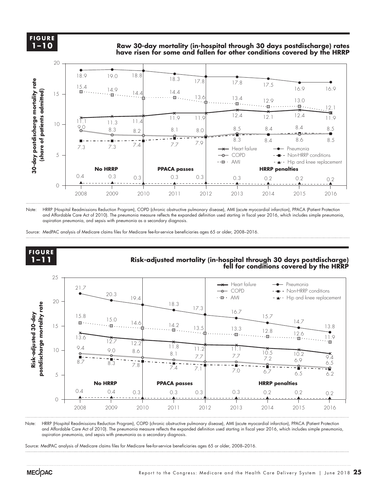#### **FIGURE FIGURE**<br>Time **1–10**

**Raw 30-day mortality (in-hospital through 30 days postdischarge) rates have risen for some and fallen for other conditions covered by the HRRP** 

**Title here....**



Note: HRRP (Hospital Readmissions Reduction Program), COPD (chronic obstructive pulmonary disease), AMI (acute myocardial infarction), PPACA (Patient Protection and Affordable Care Act of 2010). The pneumonia measure reflects the expanded definition used starting in fiscal year 2016, which includes simple pneumonia, aspiration pneumonia, and sepsis with pneumonia as a secondary diagnosis.

Source: MedPAC analysis of Medicare claims files for Medicare fee-for-service beneficiaries ages 65 or older, 2008–2016.



Note: HRRP (Hospital Readmissions Reduction Program), COPD (chronic obstructive pulmonary disease), AMI (acute myocardial infarction), PPACA (Patient Protection and Affordable Care Act of 2010). The pneumonia measure reflects the expanded definition used starting in fiscal year 2016, which includes simple pneumonia, aspiration pneumonia, and sepsis with pneumonia as a secondary diagnosis.

Source: MedPAC analysis of Medicare claims files for Medicare fee-for-service beneficiaries ages 65 or older, 2008–2016.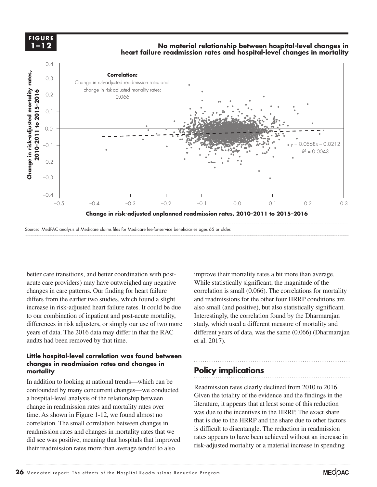**FIGURE FIGURE 1-XX 1–12**

#### **No material relationship between hospital-level changes in heart failure readmission rates and hospital-level changes in mortality**



Source: MedPAC analysis of Medicare claims files for Medicare fee-for-service beneficiaries ages 65 or older.

better care transitions, and better coordination with postacute care providers) may have outweighed any negative changes in care patterns. Our finding for heart failure differs from the earlier two studies, which found a slight increase in risk-adjusted heart failure rates. It could be due Increase in fisk-adjusted heart failure fates. It could be due<br>to our combination of inpatient and post-acute mortality, differences in risk adjusters, or simply our use of two more study, which years of data. The 2016 data may differ in that the RAC different audits had been removed by that time.

#### Little hospital-level correlation was found between changes in readmission rates and changes in **Fig. 1996. In the legand, so I**ndia<br>Have to the line of the legand, so I'll policy implications are to complicate **mortality**

In addition to looking at national trends—which can be the black selection to select it is a selection to select the black selection to graph for model in the black selection to graph. confounded by many concurrent changes—we conducted a hospital-level analysis of the relationship between  $\frac{U_1}{U_2}$ change in readmission rates and mortality rates over time. As shown in Figure 1-12, we found almost no correlation. The small correlation between changes in readmission rates and changes in mortality rates that we did see was positive, meaning that hospitals that improved their readmission rates more than average tended to also

improve their mortality rates a bit more than average. While statistically significant, the magnitude of the correlation is small (0.066). The correlations for mortality and readmissions for the other four HRRP conditions are also small (and positive), but also statistically significant. Interestingly, the correlation found by the Dharmarajan study, which used a different measure of mortality and different years of data, was the same (0.066) (Dharmarajan et al. 2017).  $\alpha$  and the maturity draw times because they kept resetting when I changed and I changed any data.

### **Policy implications**

Readmission rates clearly declined from 2010 to 2016. Given the totality of the evidence and the findings in the literature, it appears that at least some of this reduction was due to the incentives in the HRRP. The exact share that is due to the HRRP and the share due to other factors is difficult to disentangle. The reduction in readmission rates appears to have been achieved without an increase in risk-adjusted mortality or a material increase in spending

**Title here....**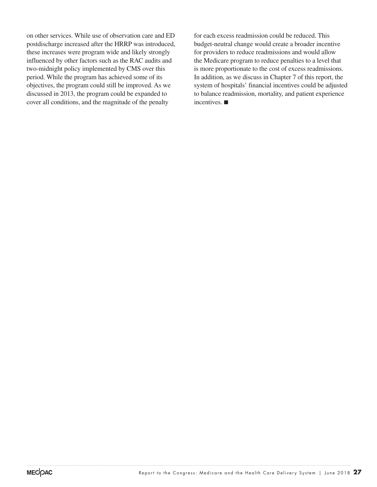on other services. While use of observation care and ED postdischarge increased after the HRRP was introduced, these increases were program wide and likely strongly influenced by other factors such as the RAC audits and two-midnight policy implemented by CMS over this period. While the program has achieved some of its objectives, the program could still be improved. As we discussed in 2013, the program could be expanded to cover all conditions, and the magnitude of the penalty

for each excess readmission could be reduced. This budget-neutral change would create a broader incentive for providers to reduce readmissions and would allow the Medicare program to reduce penalties to a level that is more proportionate to the cost of excess readmissions. In addition, as we discuss in Chapter 7 of this report, the system of hospitals' financial incentives could be adjusted to balance readmission, mortality, and patient experience incentives. ■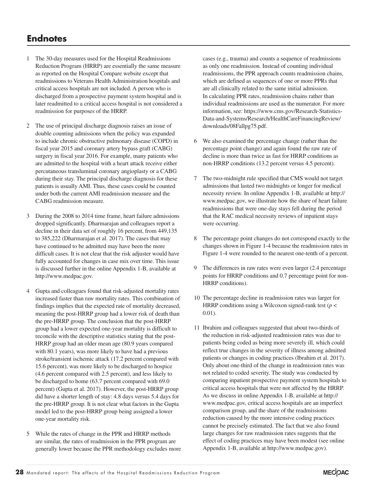# **Endnotes**

- 1 The 30-day measures used for the Hospital Readmissions Reduction Program (HRRP) are essentially the same measure as reported on the Hospital Compare website except that readmissions to Veterans Health Administration hospitals and critical access hospitals are not included. A person who is discharged from a prospective payment system hospital and is later readmitted to a critical access hospital is not considered a readmission for purposes of the HRRP.
- 2 The use of principal discharge diagnosis raises an issue of double counting admissions when the policy was expanded to include chronic obstructive pulmonary disease (COPD) in fiscal year 2015 and coronary artery bypass graft (CABG) surgery in fiscal year 2016. For example, many patients who are admitted to the hospital with a heart attack receive either percutaneous transluminal coronary angioplasty or a CABG during their stay. The principal discharge diagnosis for these patients is usually AMI. Thus, these cases could be counted under both the current AMI readmission measure and the CABG readmission measure.
- 3 During the 2008 to 2014 time frame, heart failure admissions dropped significantly. Dharmarajan and colleagues report a decline in their data set of roughly 16 percent, from 449,135 to 385,222 (Dharmarajan et al. 2017). The cases that may have continued to be admitted may have been the more difficult cases. It is not clear that the risk adjuster would have fully accounted for changes in case mix over time. This issue is discussed further in the online Appendix 1-B, available at http://www.medpac.gov.
- 4 Gupta and colleagues found that risk-adjusted mortality rates increased faster than raw mortality rates. This combination of findings implies that the expected rate of mortality decreased, meaning the post-HRRP group had a lower risk of death than the pre-HRRP group. The conclusion that the post-HRRP group had a lower expected one-year mortality is difficult to reconcile with the descriptive statistics stating that the post-HRRP group had an older mean age (80.9 years compared with 80.1 years), was more likely to have had a previous stroke/transient ischemic attack (17.2 percent compared with 15.6 percent), was more likely to be discharged to hospice (4.6 percent compared with 2.5 percent), and less likely to be discharged to home (63.7 percent compared with 69.0 percent) (Gupta et al. 2017). However, the post-HRRP group did have a shorter length of stay: 4.8 days versus 5.4 days for the pre-HRRP group. It is not clear what factors in the Gupta model led to the post-HRRP group being assigned a lower one-year mortality risk.
- 5 While the rates of change in the PPR and HRRP methods are similar, the rates of readmission in the PPR program are generally lower because the PPR methodology excludes more

cases (e.g., trauma) and counts a sequence of readmissions as only one readmission. Instead of counting individual readmissions, the PPR approach counts readmission chains, which are defined as sequences of one or more PPRs that are all clinically related to the same initial admission. In calculating PPR rates, readmission chains rather than individual readmissions are used as the numerator. For more information, see: https://www.cms.gov/Research-Statistics-Data-and-Systems/Research/HealthCareFinancingReview/ downloads/08Fallpg75.pdf.

- We also examined the percentage change (rather than the percentage point change) and again found the raw rate of decline is more than twice as fast for HRRP conditions as non-HRRP conditions (13.2 percent versus 4.5 percent).
- 7 The two-midnight rule specified that CMS would not target admissions that lasted two midnights or longer for medical necessity review. In online Appendix 1-B, available at http:// www.medpac.gov, we illustrate how the share of heart failure readmissions that were one-day stays fell during the period that the RAC medical necessity reviews of inpatient stays were occurring.
- 8 The percentage point changes do not correspond exactly to the changes shown in Figure 1-4 because the readmission rates in Figure 1-4 were rounded to the nearest one-tenth of a percent.
- 9 The differences in raw rates were even larger (2.4 percentage points for HRRP conditions and 0.7 percentage point for non-HRRP conditions).
- 10 The percentage decline in readmission rates was larger for HRRP conditions using a Wilcoxon signed-rank test ( $p$  < 0.01).
- 11 Ibrahim and colleagues suggested that about two-thirds of the reduction in risk-adjusted readmission rates was due to patients being coded as being more severely ill, which could reflect true changes in the severity of illness among admitted patients or changes in coding practices (Ibrahim et al. 2017). Only about one-third of the change in readmission rates was not related to coded severity. The study was conducted by comparing inpatient prospective payment system hospitals to critical access hospitals that were not affected by the HRRP. As we discuss in online Appendix 1-B, available at http:// www.medpac.gov, critical access hospitals are an imperfect comparison group, and the share of the readmissions reduction caused by the more intensive coding practices cannot be precisely estimated. The fact that we also found large changes for raw readmission rates suggests that the effect of coding practices may have been modest (see online Appendix 1-B, available at http://www.medpac.gov).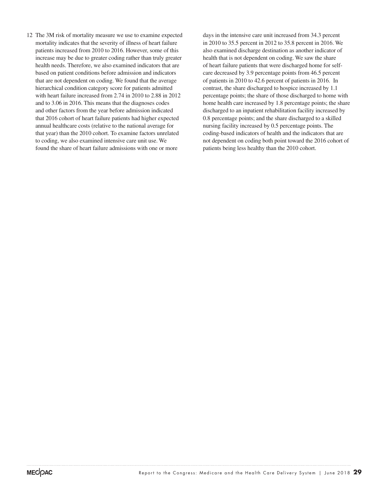12 The 3M risk of mortality measure we use to examine expected mortality indicates that the severity of illness of heart failure patients increased from 2010 to 2016. However, some of this increase may be due to greater coding rather than truly greater health needs. Therefore, we also examined indicators that are based on patient conditions before admission and indicators that are not dependent on coding. We found that the average hierarchical condition category score for patients admitted with heart failure increased from 2.74 in 2010 to 2.88 in 2012 and to 3.06 in 2016. This means that the diagnoses codes and other factors from the year before admission indicated that 2016 cohort of heart failure patients had higher expected annual healthcare costs (relative to the national average for that year) than the 2010 cohort. To examine factors unrelated to coding, we also examined intensive care unit use. We found the share of heart failure admissions with one or more

days in the intensive care unit increased from 34.3 percent in 2010 to 35.5 percent in 2012 to 35.8 percent in 2016. We also examined discharge destination as another indicator of health that is not dependent on coding. We saw the share of heart failure patients that were discharged home for selfcare decreased by 3.9 percentage points from 46.5 percent of patients in 2010 to 42.6 percent of patients in 2016. In contrast, the share discharged to hospice increased by 1.1 percentage points; the share of those discharged to home with home health care increased by 1.8 percentage points; the share discharged to an inpatient rehabilitation facility increased by 0.8 percentage points; and the share discharged to a skilled nursing facility increased by 0.5 percentage points. The coding-based indicators of health and the indicators that are not dependent on coding both point toward the 2016 cohort of patients being less healthy than the 2010 cohort.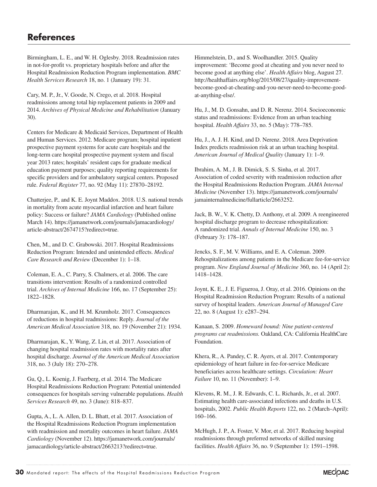# **References**

Birmingham, L. E., and W. H. Oglesby. 2018. Readmission rates in not-for-profit vs. proprietary hospitals before and after the Hospital Readmission Reduction Program implementation. *BMC Health Services Research* 18, no. 1 (January 19): 31.

Cary, M. P., Jr., V. Goode, N. Crego, et al. 2018. Hospital readmissions among total hip replacement patients in 2009 and 2014. *Archives of Physical Medicine and Rehabilitation* (January 30).

Centers for Medicare & Medicaid Services, Department of Health and Human Services. 2012. Medicare program; hospital inpatient prospective payment systems for acute care hospitals and the long-term care hospital prospective payment system and fiscal year 2013 rates; hospitals' resident caps for graduate medical education payment purposes; quality reporting requirements for specific providers and for ambulatory surgical centers. Proposed rule. *Federal Register* 77, no. 92 (May 11): 27870–28192.

Chatterjee, P., and K. E. Joynt Maddox. 2018. U.S. national trends in mortality from acute myocardial infarction and heart failure policy: Success or failure? *JAMA Cardiology* (Published online March 14). https://jamanetwork.com/journals/jamacardiology/ article-abstract/2674715?redirect=true.

Chen, M., and D. C. Grabowski. 2017. Hospital Readmissions Reduction Program: Intended and unintended effects. *Medical Care Research and Review* (December 1): 1–18.

Coleman, E. A., C. Parry, S. Chalmers, et al. 2006. The care transitions intervention: Results of a randomized controlled trial. *Archives of Internal Medicine* 166, no. 17 (September 25): 1822–1828.

Dharmarajan, K., and H. M. Krumholz. 2017. Consequences of reductions in hospital readmissions: Reply. *Journal of the American Medical Association* 318, no. 19 (November 21): 1934.

Dharmarajan, K., Y. Wang, Z. Lin, et al. 2017. Association of changing hospital readmission rates with mortality rates after hospital discharge. *Journal of the American Medical Association* 318, no. 3 (July 18): 270–278.

Gu, Q., L. Koenig, J. Faerberg, et al. 2014. The Medicare Hospital Readmissions Reduction Program: Potential unintended consequences for hospitals serving vulnerable populations. *Health Services Research* 49, no. 3 (June): 818–837.

Gupta, A., L. A. Allen, D. L. Bhatt, et al. 2017. Association of the Hospital Readmissions Reduction Program implementation with readmission and mortality outcomes in heart failure. *JAMA Cardiology* (November 12). https://jamanetwork.com/journals/ jamacardiology/article-abstract/2663213?redirect=true.

Himmelstein, D., and S. Woolhandler. 2015. Quality improvement: 'Become good at cheating and you never need to become good at anything else'. *Health Affairs* blog, August 27. http://healthaffairs.org/blog/2015/08/27/quality-improvementbecome-good-at-cheating-and-you-never-need-to-become-goodat-anything-else/.

Hu, J., M. D. Gonsahn, and D. R. Nerenz. 2014. Socioeconomic status and readmissions: Evidence from an urban teaching hospital. *Health Affairs* 33, no. 5 (May): 778–785.

Hu, J., A. J. H. Kind, and D. Nerenz. 2018. Area Deprivation Index predicts readmission risk at an urban teaching hospital. *American Journal of Medical Quality* (January 1): 1–9.

Ibrahim, A. M., J. B. Dimick, S. S. Sinha, et al. 2017. Association of coded severity with readmission reduction after the Hospital Readmissions Reduction Program. *JAMA Internal Medicine* (November 13). https://jamanetwork.com/journals/ jamainternalmedicine/fullarticle/2663252.

Jack, B. W., V. K. Chetty, D. Anthony, et al. 2009. A reengineered hospital discharge program to decrease rehospitalization: A randomized trial. *Annals of Internal Medicine* 150, no. 3 (February 3): 178–187.

Jencks, S. F., M. V. Williams, and E. A. Coleman. 2009. Rehospitalizations among patients in the Medicare fee-for-service program. *New England Journal of Medicine* 360, no. 14 (April 2): 1418–1428.

Joynt, K. E., J. E. Figueroa, J. Oray, et al. 2016. Opinions on the Hospital Readmission Reduction Program: Results of a national survey of hospital leaders. *American Journal of Managed Care*  22, no. 8 (August 1): e287–294.

Kanaan, S. 2009. *Homeward bound: Nine patient-centered programs cut readmissions.* Oakland, CA: California HealthCare Foundation.

Khera, R., A. Pandey, C. R. Ayers, et al. 2017. Contemporary epidemiology of heart failure in fee-for-service Medicare beneficiaries across healthcare settings. *Circulation: Heart Failure* 10, no. 11 (November): 1–9.

Klevens, R. M., J. R. Edwards, C. L. Richards, Jr., et al. 2007. Estimating health care-associated infections and deaths in U.S. hospitals, 2002. *Public Health Reports* 122, no. 2 (March–April): 160–166.

McHugh, J. P., A. Foster, V. Mor, et al. 2017. Reducing hospital readmissions through preferred networks of skilled nursing facilities. *Health Affairs* 36, no. 9 (September 1): 1591–1598.